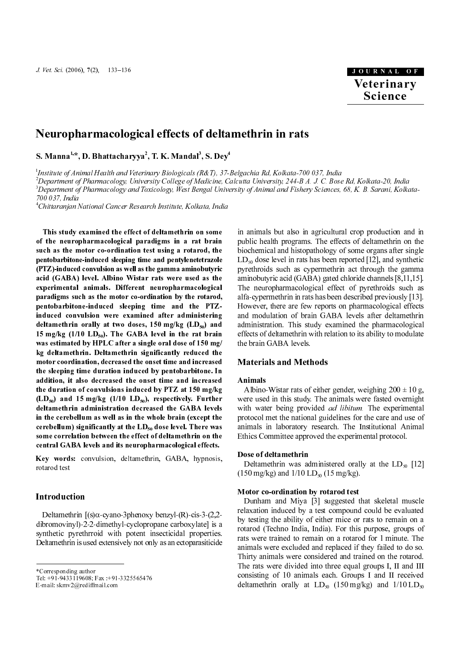# Neuropharmacological effects of deltamethrin in rats

S. Manna''", D. Bhattacharyya', T. K. Mandal', S. Dey<sup>,</sup>

1 Institute of Animal Health and Veterinary Biologicals (R&T), 37-Belgachia Rd, Kolkata-700 037, India

2 Department of Pharmacology, University College of Medicine, Calcutta University, 244-B A. J. C. Bose Rd, Kolkata-20, India 3 Department of Pharmacology and Toxicology, West Bengal University of Animal and Fishery Sciences, 68, K. B. Sarani, Kolkata-

700 037, India

4 Chittaranjan National Cancer Research Institute, Kolkata, India

This study examined the effect of deltamethrin on some of the neuropharmacological paradigms in a rat brain such as the motor co-ordination test using a rotarod, the pentobarbitone-induced sleeping time and pentylenetetrazole (PTZ)-induced convulsion as well as the gamma aminobutyric acid (GABA) level. Albino Wistar rats were used as the experimental animals. Different neuropharmacological paradigms such as the motor co-ordination by the rotarod, pentobarbitone-induced sleeping time and the PTZinduced convulsion were examined after administering deltamethrin orally at two doses,  $150$  mg/kg (LD<sub>50</sub>) and 15 mg/kg  $(1/10 \text{ LD}_{50})$ . The GABA level in the rat brain was estimated by HPLC after a single oral dose of 150 mg/ kg deltamethrin. Deltamethrin significantly reduced the motor coordination, decreased the onset time and increased the sleeping time duration induced by pentobarbitone. In addition, it also decreased the onset time and increased the duration of convulsions induced by PTZ at 150 mg/kg  $(LD_{50})$  and 15 mg/kg  $(1/10 LD_{50})$ , respectively. Further deltamethrin administration decreased the GABA levels in the cerebellum as well as in the whole brain (except the cerebellum) significantly at the  $LD_{50}$  dose level. There was some correlation between the effect of deltamethrin on the central GABA levels and its neuropharmacological effects.

**Key words:** convulsion, deltamethrin, GABA, hypnosis,<br>rotarod test<br>**Introduction**<br>Deltamethrin [(s) $\alpha$ -cyano-3phenoxy benzyl-(R)-cis-3-(2,2-<br>dibromovinyl)-2-2-dimethyl-cyclopropane carboxylate] is a<br>synthetic pyrethrroi **Introduc**<br>Deltamet<br>dibromovin<br>synthetic<br>Deltamethr<br>\*Correspond<br>Tel: +91-943<br>E-mail: skmv Deltamethrin [(s)α-cyano-3phenoxy benzyl-(R)-cis-3-(2,2 dibromovinyl)-2-2-dimethyl-cyclopropane carboxylate] is a synthetic pyrethrroid with potent insecticidal properties. Deltamethrin is used extensively not only as an ectoparasiticide Tel: +91-9433119608; Fax :+91-3325565476

**Veterinary**<br> **Science**<br>
Science<br>
Science<br>
Science<br>
Science<br>
Science<br>
Mangle Science<br>
Science<br>
Allows Exami, Kolkata<br>
A. B. Sarani, Kolkata<br>
are or gans after sing<br>
are or any and synthetic through the gammatic dependence in animals but also in agricultural crop production and in public health programs. The effects of deltamethrin on the biochemical and histopathology of some organs after single  $LD_{50}$  dose level in rats has been reported [12], and synthetic<br>municipality and se synomializing at through the sample pyrethroids such as cypermethrin act through the gamma aminobutyric acid (GABA) gated chloride channels [8,11,15]. The neuropharmacological effect of pyrethroids such as alfa-cypermethrin in rats has been described previously [13]. However, there are few reports on pharmacological effects and modulation of brain GABA levels after deltamethrin administration. This study examined the pharmacological effects of deltamethrin with relation to its ability to modulate the brain GABA levels.

### **Materials and Methods**

### Animals

Albino-Wistar rats of either gender, weighing  $200 \pm 10$  g, were used in this study. The animals were fasted overnight with water being provided *ad libitum*. The experimental protocol met the national guidelines for the care and use of animals in laboratory research. The Institutional Animal Ethics Committee approved the experimental protocol.

#### Dose of deltamethrin

Deltamethrin was administered orally at the  $LD_{50}$  [12] (150 mg/kg) and  $1/10$  LD<sub>50</sub> (15 mg/kg).

#### Motor co-ordination by rotarod test

Dunham and Miya [3] suggested that skeletal muscle relaxation induced by a test compound could be evaluated by testing the ability of either mice or rats to remain on a rotarod (Techno India, India). For this purpose, groups of rats were trained to remain on a rotarod for 1 minute. The animals were excluded and replaced if they failed to do so. Thirty animals were considered and trained on the rotarod. The rats were divided into three equal groups I, II and III consisting of 10 animals each. Groups I and II received deltamethrin orally at  $LD_{50}$  (150 mg/kg) and 1/10  $LD_{50}$ 

<sup>\*</sup>Corresponding author

Tel: +91-9433119608; Fax: +91-3325565476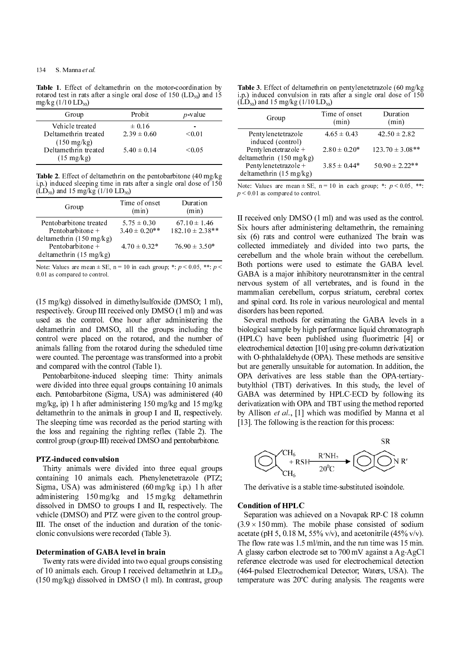#### 134

**Table 1.** Effect of deltamethrin on the motor-coordination by rotarod test in rats after a single oral dose of 150 (LD<sub>50</sub>) and 15 mg/kg (1/10 I D)  $mg/kg (1/10 LD_{50})$ 

| Group                                                                                    | Probit                                           | $p$ -value            |
|------------------------------------------------------------------------------------------|--------------------------------------------------|-----------------------|
| Vehicle treated<br>Deltamethrin treated<br>$(150 \text{ mg/kg})$<br>Deltamethrin treated | $\pm 0.16$<br>$2.39 \pm 0.60$<br>$5.40 \pm 0.14$ | -<br>< 0.01<br>< 0.05 |
| $(15 \text{ mg/kg})$                                                                     |                                                  |                       |

Table 2. Effect of deltamethrin on the pentobarbitone (40 mg/kg) i.p.) induced sleeping time in rats after a single oral dose of 150  $(\dot{LD}_{50})$  and 15 mg/kg $(1/10 \text{ LD}_{50})$ 

| Group                                                                              | Time of onset<br>(min)               | Duration<br>(min)                       |
|------------------------------------------------------------------------------------|--------------------------------------|-----------------------------------------|
| Pentobarbitone treated<br>Pentobarbitone $+$<br>deltamethrin $(150 \text{ mg/kg})$ | $5.75 \pm 0.30$<br>$3.40 \pm 0.20**$ | $67.10 \pm 1.46$<br>$182.10 \pm 2.38**$ |
| Pentobarbitone +<br>deltamethrin $(15 \text{ mg/kg})$                              | $4.70 \pm 0.32*$                     | $76.90 \pm 3.50*$                       |

Note: Values are mean  $\pm$  SE, n = 10 in each group; \*: p < 0.05, \*\*: p < 0.01 as compared to control.

(15 mg/kg) dissolved in dimethylsulfoxide (DMSO; 1 ml), respectively. Group III received only DMSO (1 ml) and was used as the control. One hour after administering the deltamethrin and DMSO, all the groups including the control were placed on the rotarod, and the number of animals falling from the rotarod during the scheduled time were counted. The percentage was transformed into a probit and compared with the control (Table 1). Note, values are meant "set, n = 10 in each group; \*: p × 0.00, \*: p × 0.00, \*: p × 0.00, \*: p × 0.00, \*: p × 0.00, \*: p × 0.00, \*: p × 0.00, \*: p × 0.00, \*: p × 0.00, \*: p × 0.00, \*: p × 0.00, \*: p × 0.00, \*: p × 0.00, \* (15 mg/kg) dissolved in respectively. Group III used as the control.<br>deltamethrin and DM control were placed of animals falling from the were counted. The percend compared with the Pentobarbitone-induce were divided into

Pentobarbitone-induced sleeping time: Thirty animals were divided into three equal groups containing 10 animals each. Pentobarbitone (Sigma, USA) was administered (40 mg/kg, ip) 1 h after administering 150 mg/kg and 15 mg/kg deltamethrin to the animals in group I and II, respectively. The sleeping time was recorded as the period starting with the loss and regaining the righting reflex (Table 2). The control group (group-III) received DMSO and pentobarbitone.

#### PTZ-induced convulsion

Thirty animals were divided into three equal groups containing 10 animals each. Phenylenetetrazole (PTZ; Sigma, USA) was administered (60 mg/kg i.p.) 1 h after administering 150 mg/kg and 15 mg/kg deltamethrin dissolved in DMSO to groups I and II, respectively. The vehicle (DMSO) and PTZ were given to the control group-III. The onset of the induction and duration of the tonicclonic convulsions were recorded (Table 3).

#### Determination of GABA level in brain

Twenty rats were divided into two equal groups consisting of 10 animals each. Group I received deltamethrin at  $LD_{50}$ (150 mg/kg) dissolved in DMSO (1 ml). In contrast, group

Table 3. Effect of deltamethrin on pentylenetetrazole (60 mg/kg i.p.) induced convulsion in rats after a single oral dose of 150  $(\dot{LD}_{50})$  and 15 mg/kg (1/10 LD<sub>50</sub>)

| Group                                                      | Time of onset<br>(min) | Duration<br>(min)   |
|------------------------------------------------------------|------------------------|---------------------|
| Pentylenetetrazole<br>induced (control)                    | $4.65 \pm 0.43$        | $42.50 \pm 2.82$    |
| Pentylenetetrazole +<br>deltamethrin $(150 \text{ mg/kg})$ | $2.80 \pm 0.20*$       | $123.70 \pm 3.08**$ |
| Pentylenetetrazole +<br>deltamethrin $(15 \text{ mg/kg})$  | $3.85 \pm 0.44*$       | $50.90 \pm 2.22**$  |

Note: Values are mean  $\pm$  SE, n = 10 in each group; \*:  $p$  < 0.05, \*\*:  $p \leq 0.01$  as compared to control.

II received only DMSO (1 ml) and was used as the control. Six hours after administering deltamethrin, the remaining six (6) rats and control were euthanized The brain was collected immediately and divided into two parts, the cerebellum and the whole brain without the cerebellum. Both portions were used to estimate the GABA level. GABA is a major inhibitory neurotransmitter in the central nervous system of all vertebrates, and is found in the mammalian cerebellum, corpus striatum, cerebral cortex and spinal cord. Its role in various neurological and mental disorders has been reported.

Several methods for estimating the GABA levels in a biological sample by high performance liquid chromatograph (HPLC) have been published using fluorimetric [4] or electrochemical detection [10] using pre-column derivatization with O-phthalaldehyde (OPA). These methods are sensitive but are generally unsuitable for automation. In addition, the OPA derivatives are less stable than the OPA-tertiarybutylthiol (TBT) derivatives. In this study, the level of GABA was determined by HPLC-ECD by following its derivatization with OPA and TBT using the method reported by Allison et al., [1] which was modified by Manna et al [13]. The following is the reaction for this process: Note: values are instant = 1.1 o in each group; \*: p  $\mu$  solony, \*: p<br>s  $\mu$  o  $\mu$  s  $\mu$  s (6) is compared to control.<br>Bix hours after administering deltamethrin, the remaining<br>obleted inmediately and divided into two



The derivative is a stable time-substituted isoindole.

#### Condition of HPLC

Separation was achieved on a Novapak RP-C 18 column  $(3.9 \times 150 \text{ mm})$ . The mobile phase consisted of sodium acetate (pH 5, 0.18 M, 55% v/v), and acetonitrile (45% v/v). The flow rate was 1.5 ml/min, and the run time was 15 min. A glassy carbon electrode set to 700 mV against a Ag-AgCl reference electrode was used for electrochemical detection (464-pulsed Electrochemical Detector; Waters, USA). The temperature was 20°C during analysis. The reagents were the primate of probability are generally unsuitable PA derivatives are less<br>titled (TBT) derivatives are less<br>titled (TBT) derivatives (ABA was determined berivatization with OPA and<br>y Allison *et al.*, [1] which (3). The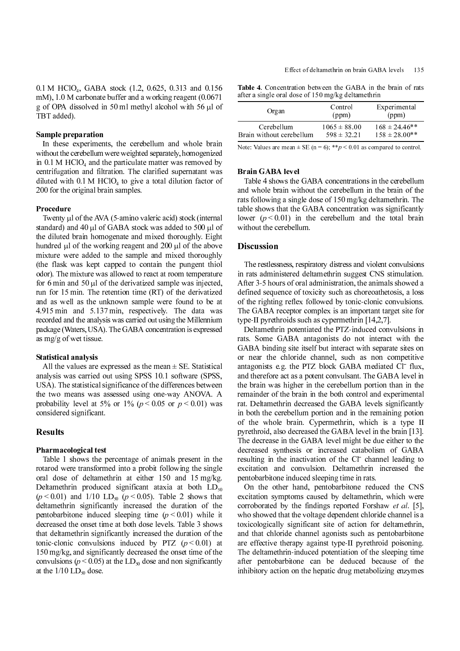0.1 M HClO<sub>4</sub>, GABA stock (1.2, 0.625, 0.313 and 0.156 mM), 1.0 M carbonate buffer and a working reagent (0.0671 g of OPA dissolved in 50 ml methyl alcohol with 56 µl of TBT added).

#### Sample preparation

In these experiments, the cerebellum and whole brain without the cerebellum were weighted separately, homogenized in 0.1 M HClO<sub>4</sub> and the particulate matter was removed by centrifugation and filtration. The clarified supernatant was diluted with  $0.1$  M HClO<sub>4</sub> to give a total dilution factor of 200 for the original brain samples.

#### Procedure

Twenty µl of the AVA (5-amino valeric acid) stock (internal standard) and 40 µl of GABA stock was added to 500 µl of the diluted brain homogenate and mixed thoroughly. Eight hundred µl of the working reagent and 200 µl of the above mixture were added to the sample and mixed thoroughly (the flask was kept capped to contain the pungent thiol odor). The mixture was allowed to react at room temperature for 6 min and 50  $\mu$ l of the derivatized sample was injected, run for 15 min. The retention time (RT) of the derivatized and as well as the unknown sample were found to be at 4.915 min and 5.137 min, respectively. The data was recorded and the analysis was carried out using the Millennium package (Waters, USA). The GABA concentration is expressed as mg/g of wet tissue.

#### Statistical analysis

All the values are expressed as the mean  $\pm$  SE. Statistical analysis was carried out using SPSS 10.1 software (SPSS, USA). The statistical significance of the differences between the two means was assessed using one-way ANOVA. A probability level at 5% or 1% ( $p < 0.05$  or  $p < 0.01$ ) was considered significant.

#### Pharmacological test

Table 1 shows the percentage of animals present in the rotarod were transformed into a probit following the single oral dose of deltamethrin at either 150 and 15 mg/kg. Deltamethrin produced significant ataxia at both  $LD_{50}$  $(p < 0.01)$  and 1/10 LD<sub>50</sub>  $(p < 0.05)$ . Table 2 shows that deltamethrin significantly increased the duration of the pentobarbitone induced sleeping time  $(p < 0.01)$  while it decreased the onset time at both dose levels. Table 3 shows that deltamethrin significantly increased the duration of the tonic-clonic convulsions induced by PTZ  $(p < 0.01)$  at 150 mg/kg, and significantly decreased the onset time of the convulsions ( $p < 0.05$ ) at the LD<sub>50</sub> dose and non significantly at the  $1/10$  LD<sub>50</sub> dose.

Table 4. Concentration between the GABA in the brain of rats after a single oral dose of 150 mg/kg deltamethrin

| Organ                    | Control<br>(ppm) | Experimental<br>(ppm) |
|--------------------------|------------------|-----------------------|
| Cerebellum               | $1065 \pm 88.00$ | $168 \pm 24.46$ **    |
| Brain without cerebellum | $598 \pm 32.21$  | $158 \pm 28.00**$     |

Note: Values are mean  $\pm$  SE (n = 6); \*\*p < 0.01 as compared to control.

#### Brain GABA level

Effect of 150 mg/kg deltamethrin (ppm)<br>
In 1065 ± 88.00 = 168 ± 24.46\*<br>
Experimental<br>
(ppm) = 1065 ± 88.00 = 168 ± 24.46\*\*<br>
Freebellum = 598 ± 32.21 = 158 ± 28.00\*\*<br>
Freehellum = 598 ± 32.21 = 158 ± 28.00\*\*<br>
Freehellum = Table 4 shows the GABA concentrations in the cerebellum and whole brain without the cerebellum in the brain of the rats following a single dose of 150 mg/kg deltamethrin. The table shows that the GABA concentration was significantly lower ( $p < 0.01$ ) in the cerebellum and the total brain without the cerebellum.

The restlessness, respiratory distress and violent convulsions in rats administered deltamethrin suggest CNS stimulation. After 3-5 hours of oral administration, the animals showed a defined sequence of toxicity such as choreoathetosis, a loss of the righting reflex followed by tonic-clonic convulsions. The GABA receptor complex is an important target site for type-II pyrethroids such as cypermethrin [14,2,7].

Deltamethrin potentiated the PTZ-induced convulsions in rats. Some GABA antagonists do not interact with the GABA binding site itself but interact with separate sites on or near the chloride channel, such as non competitive antagonists e.g. the PTZ block GABA mediated Cl<sup>−</sup><br>and therefore act as a potent convulsant. The GABA le<br>the brain was higher in the cerebellum portion than antagonists e.g. the PTZ block GABA mediated Cl<sup>-</sup> flux, and therefore act as a potent convulsant. The GABA level in the brain was higher in the cerebellum portion than in the remainder of the brain in the both control and experimental rat. Deltamethrin decreased the GABA levels significantly in both the cerebellum portion and in the remaining potion of the whole brain. Cypermethrin, which is a type II pyrethroid, also decreased the GABA level in the brain [13]. The decrease in the GABA level might be due either to the decreased synthesis or increased catabolism of GABA resulting in the inactivation of the Cl<sup>−</sup> char<br>excitation and convulsion. Deltamethrin<br>pentobarbitone induced sleeping time in rats. resulting in the inactivation of the Cl channel leading to excitation and convulsion. Deltamethrin increased the

On the other hand, pentobarbitone reduced the CNS excitation symptoms caused by deltamethrin, which were corroborated by the findings reported Forshaw et al. [5], who showed that the voltage dependent chloride channel is a toxicologically significant site of action for deltamethrin, and that chloride channel agonists such as pentobarbitone are effective therapy against type-II pyrethroid poisoning. The deltamethrin-induced potentiation of the sleeping time after pentobarbitone can be deduced because of the inhibitory action on the hepatic drug metabolizing enzymes